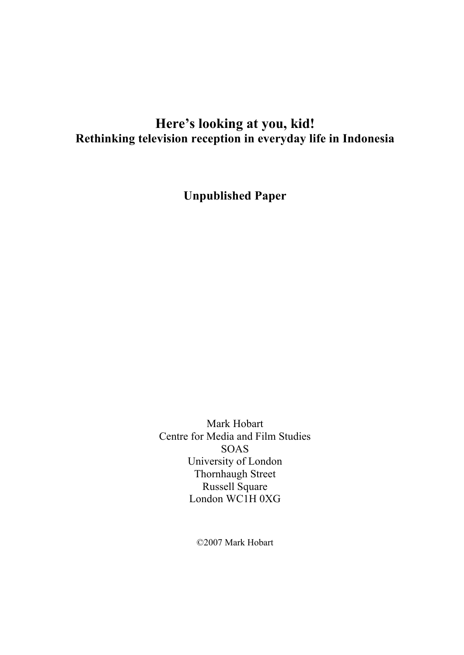# **Here's looking at you, kid! Rethinking television reception in everyday life in Indonesia**

**Unpublished Paper**

Mark Hobart Centre for Media and Film Studies SOAS University of London Thornhaugh Street Russell Square London WC1H 0XG

©2007 Mark Hobart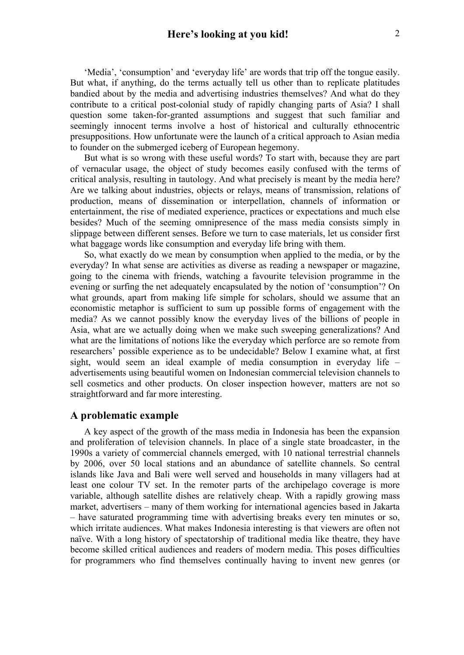'Media', 'consumption' and 'everyday life' are words that trip off the tongue easily. But what, if anything, do the terms actually tell us other than to replicate platitudes bandied about by the media and advertising industries themselves? And what do they contribute to a critical post-colonial study of rapidly changing parts of Asia? I shall question some taken-for-granted assumptions and suggest that such familiar and seemingly innocent terms involve a host of historical and culturally ethnocentric presuppositions. How unfortunate were the launch of a critical approach to Asian media to founder on the submerged iceberg of European hegemony.

But what is so wrong with these useful words? To start with, because they are part of vernacular usage, the object of study becomes easily confused with the terms of critical analysis, resulting in tautology. And what precisely is meant by the media here? Are we talking about industries, objects or relays, means of transmission, relations of production, means of dissemination or interpellation, channels of information or entertainment, the rise of mediated experience, practices or expectations and much else besides? Much of the seeming omnipresence of the mass media consists simply in slippage between different senses. Before we turn to case materials, let us consider first what baggage words like consumption and everyday life bring with them.

So, what exactly do we mean by consumption when applied to the media, or by the everyday? In what sense are activities as diverse as reading a newspaper or magazine, going to the cinema with friends, watching a favourite television programme in the evening or surfing the net adequately encapsulated by the notion of 'consumption'? On what grounds, apart from making life simple for scholars, should we assume that an economistic metaphor is sufficient to sum up possible forms of engagement with the media? As we cannot possibly know the everyday lives of the billions of people in Asia, what are we actually doing when we make such sweeping generalizations? And what are the limitations of notions like the everyday which perforce are so remote from researchers' possible experience as to be undecidable? Below I examine what, at first sight, would seem an ideal example of media consumption in everyday life – advertisements using beautiful women on Indonesian commercial television channels to sell cosmetics and other products. On closer inspection however, matters are not so straightforward and far more interesting.

#### **A problematic example**

A key aspect of the growth of the mass media in Indonesia has been the expansion and proliferation of television channels. In place of a single state broadcaster, in the 1990s a variety of commercial channels emerged, with 10 national terrestrial channels by 2006, over 50 local stations and an abundance of satellite channels. So central islands like Java and Bali were well served and households in many villagers had at least one colour TV set. In the remoter parts of the archipelago coverage is more variable, although satellite dishes are relatively cheap. With a rapidly growing mass market, advertisers – many of them working for international agencies based in Jakarta – have saturated programming time with advertising breaks every ten minutes or so, which irritate audiences. What makes Indonesia interesting is that viewers are often not naïve. With a long history of spectatorship of traditional media like theatre, they have become skilled critical audiences and readers of modern media. This poses difficulties for programmers who find themselves continually having to invent new genres (or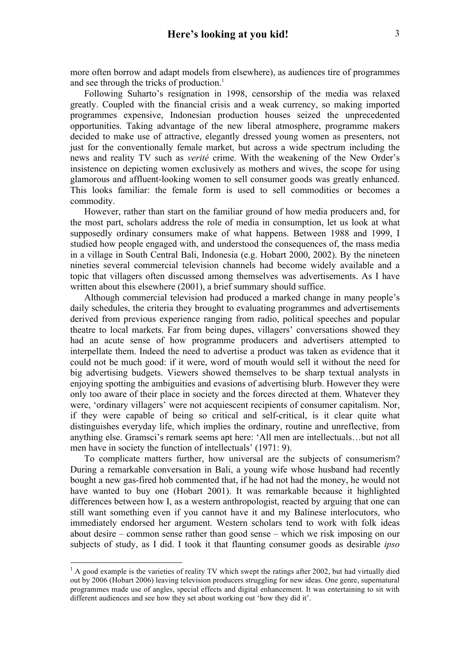more often borrow and adapt models from elsewhere), as audiences tire of programmes and see through the tricks of production.<sup>1</sup>

Following Suharto's resignation in 1998, censorship of the media was relaxed greatly. Coupled with the financial crisis and a weak currency, so making imported programmes expensive, Indonesian production houses seized the unprecedented opportunities. Taking advantage of the new liberal atmosphere, programme makers decided to make use of attractive, elegantly dressed young women as presenters, not just for the conventionally female market, but across a wide spectrum including the news and reality TV such as *verité* crime. With the weakening of the New Order's insistence on depicting women exclusively as mothers and wives, the scope for using glamorous and affluent-looking women to sell consumer goods was greatly enhanced. This looks familiar: the female form is used to sell commodities or becomes a commodity.

However, rather than start on the familiar ground of how media producers and, for the most part, scholars address the role of media in consumption, let us look at what supposedly ordinary consumers make of what happens. Between 1988 and 1999, I studied how people engaged with, and understood the consequences of, the mass media in a village in South Central Bali, Indonesia (e.g. Hobart 2000, 2002). By the nineteen nineties several commercial television channels had become widely available and a topic that villagers often discussed among themselves was advertisements. As I have written about this elsewhere (2001), a brief summary should suffice.

Although commercial television had produced a marked change in many people's daily schedules, the criteria they brought to evaluating programmes and advertisements derived from previous experience ranging from radio, political speeches and popular theatre to local markets. Far from being dupes, villagers' conversations showed they had an acute sense of how programme producers and advertisers attempted to interpellate them. Indeed the need to advertise a product was taken as evidence that it could not be much good: if it were, word of mouth would sell it without the need for big advertising budgets. Viewers showed themselves to be sharp textual analysts in enjoying spotting the ambiguities and evasions of advertising blurb. However they were only too aware of their place in society and the forces directed at them. Whatever they were, 'ordinary villagers' were not acquiescent recipients of consumer capitalism. Nor, if they were capable of being so critical and self-critical, is it clear quite what distinguishes everyday life, which implies the ordinary, routine and unreflective, from anything else. Gramsci's remark seems apt here: 'All men are intellectuals…but not all men have in society the function of intellectuals' (1971: 9).

To complicate matters further, how universal are the subjects of consumerism? During a remarkable conversation in Bali, a young wife whose husband had recently bought a new gas-fired hob commented that, if he had not had the money, he would not have wanted to buy one (Hobart 2001). It was remarkable because it highlighted differences between how I, as a western anthropologist, reacted by arguing that one can still want something even if you cannot have it and my Balinese interlocutors, who immediately endorsed her argument. Western scholars tend to work with folk ideas about desire – common sense rather than good sense – which we risk imposing on our subjects of study, as I did. I took it that flaunting consumer goods as desirable *ipso* 

 $\frac{1}{1}$  $^{1}$  A good example is the varieties of reality TV which swept the ratings after 2002, but had virtually died out by 2006 (Hobart 2006) leaving television producers struggling for new ideas. One genre, supernatural programmes made use of angles, special effects and digital enhancement. It was entertaining to sit with different audiences and see how they set about working out 'how they did it'.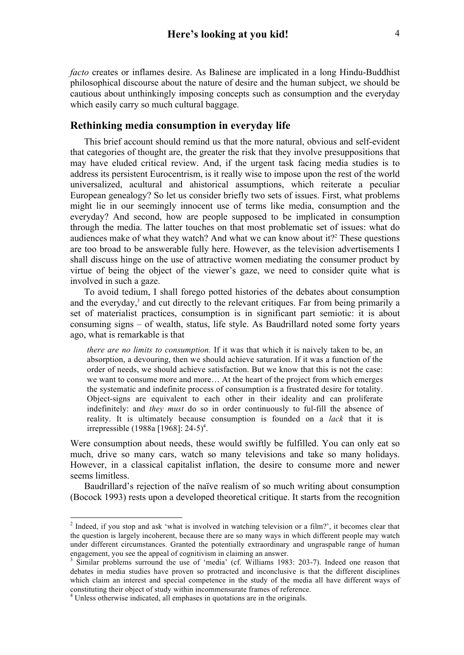*facto* creates or inflames desire. As Balinese are implicated in a long Hindu-Buddhist philosophical discourse about the nature of desire and the human subject, we should be cautious about unthinkingly imposing concepts such as consumption and the everyday which easily carry so much cultural baggage.

## **Rethinking media consumption in everyday life**

This brief account should remind us that the more natural, obvious and self-evident that categories of thought are, the greater the risk that they involve presuppositions that may have eluded critical review. And, if the urgent task facing media studies is to address its persistent Eurocentrism, is it really wise to impose upon the rest of the world universalized, acultural and ahistorical assumptions, which reiterate a peculiar European genealogy? So let us consider briefly two sets of issues. First, what problems might lie in our seemingly innocent use of terms like media, consumption and the everyday? And second, how are people supposed to be implicated in consumption through the media. The latter touches on that most problematic set of issues: what do audiences make of what they watch? And what we can know about it?<sup>2</sup> These questions are too broad to be answerable fully here. However, as the television advertisements I shall discuss hinge on the use of attractive women mediating the consumer product by virtue of being the object of the viewer's gaze, we need to consider quite what is involved in such a gaze.

To avoid tedium, I shall forego potted histories of the debates about consumption and the everyday,<sup>3</sup> and cut directly to the relevant critiques. Far from being primarily a set of materialist practices, consumption is in significant part semiotic: it is about consuming signs – of wealth, status, life style. As Baudrillard noted some forty years ago, what is remarkable is that

*there are no limits to consumption.* If it was that which it is naively taken to be, an absorption, a devouring, then we should achieve saturation. If it was a function of the order of needs, we should achieve satisfaction. But we know that this is not the case: we want to consume more and more… At the heart of the project from which emerges the systematic and indefinite process of consumption is a frustrated desire for totality. Object-signs are equivalent to each other in their ideality and can proliferate indefinitely: and *they must* do so in order continuously to ful-fill the absence of reality. It is ultimately because consumption is founded on a *lack* that it is irrepressible (1988a [1968]: 24-5)<sup>4</sup>.

Were consumption about needs, these would swiftly be fulfilled. You can only eat so much, drive so many cars, watch so many televisions and take so many holidays. However, in a classical capitalist inflation, the desire to consume more and newer seems limitless.

Baudrillard's rejection of the naïve realism of so much writing about consumption (Bocock 1993) rests upon a developed theoretical critique. It starts from the recognition

 $\frac{1}{2}$ <sup>2</sup> Indeed, if you stop and ask 'what is involved in watching television or a film?', it becomes clear that the question is largely incoherent, because there are so many ways in which different people may watch under different circumstances. Granted the potentially extraordinary and ungraspable range of human engagement, you see the appeal of cognitivism in claiming an answer.

<sup>&</sup>lt;sup>3</sup> Similar problems surround the use of 'media' (cf. Williams 1983: 203-7). Indeed one reason that debates in media studies have proven so protracted and inconclusive is that the different disciplines which claim an interest and special competence in the study of the media all have different ways of constituting their object of study within incommensurate frames of reference. <sup>4</sup> Unless otherwise indicated, all emphases in quotations are in the originals.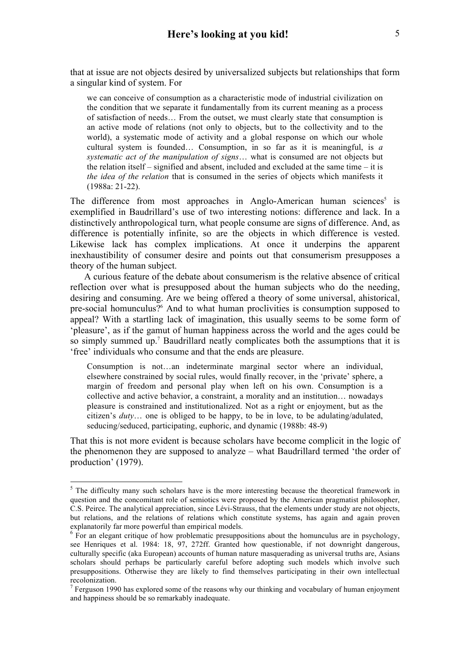that at issue are not objects desired by universalized subjects but relationships that form a singular kind of system. For

we can conceive of consumption as a characteristic mode of industrial civilization on the condition that we separate it fundamentally from its current meaning as a process of satisfaction of needs… From the outset, we must clearly state that consumption is an active mode of relations (not only to objects, but to the collectivity and to the world), a systematic mode of activity and a global response on which our whole cultural system is founded… Consumption, in so far as it is meaningful, is *a systematic act of the manipulation of signs*… what is consumed are not objects but the relation itself – signified and absent, included and excluded at the same time – it is *the idea of the relation* that is consumed in the series of objects which manifests it (1988a: 21-22).

The difference from most approaches in Anglo-American human sciences<sup>5</sup> is exemplified in Baudrillard's use of two interesting notions: difference and lack. In a distinctively anthropological turn, what people consume are signs of difference. And, as difference is potentially infinite, so are the objects in which difference is vested. Likewise lack has complex implications. At once it underpins the apparent inexhaustibility of consumer desire and points out that consumerism presupposes a theory of the human subject.

A curious feature of the debate about consumerism is the relative absence of critical reflection over what is presupposed about the human subjects who do the needing, desiring and consuming. Are we being offered a theory of some universal, ahistorical, pre-social homunculus?<sup>6</sup> And to what human proclivities is consumption supposed to appeal? With a startling lack of imagination, this usually seems to be some form of 'pleasure', as if the gamut of human happiness across the world and the ages could be so simply summed up.<sup>7</sup> Baudrillard neatly complicates both the assumptions that it is 'free' individuals who consume and that the ends are pleasure.

Consumption is not…an indeterminate marginal sector where an individual, elsewhere constrained by social rules, would finally recover, in the 'private' sphere, a margin of freedom and personal play when left on his own. Consumption is a collective and active behavior, a constraint, a morality and an institution… nowadays pleasure is constrained and institutionalized. Not as a right or enjoyment, but as the citizen's *duty*… one is obliged to be happy, to be in love, to be adulating/adulated, seducing/seduced, participating, euphoric, and dynamic (1988b: 48-9)

That this is not more evident is because scholars have become complicit in the logic of the phenomenon they are supposed to analyze – what Baudrillard termed 'the order of production' (1979).

 $\frac{1}{5}$  $5$  The difficulty many such scholars have is the more interesting because the theoretical framework in question and the concomitant role of semiotics were proposed by the American pragmatist philosopher, C.S. Peirce. The analytical appreciation, since Lévi-Strauss, that the elements under study are not objects, but relations, and the relations of relations which constitute systems, has again and again proven explanatorily far more powerful than empirical models.

 $6$  For an elegant critique of how problematic presuppositions about the homunculus are in psychology, see Henriques et al. 1984: 18, 97, 272ff. Granted how questionable, if not downright dangerous, culturally specific (aka European) accounts of human nature masquerading as universal truths are, Asians scholars should perhaps be particularly careful before adopting such models which involve such presuppositions. Otherwise they are likely to find themselves participating in their own intellectual recolonization.

 $<sup>7</sup>$  Ferguson 1990 has explored some of the reasons why our thinking and vocabulary of human enjoyment</sup> and happiness should be so remarkably inadequate.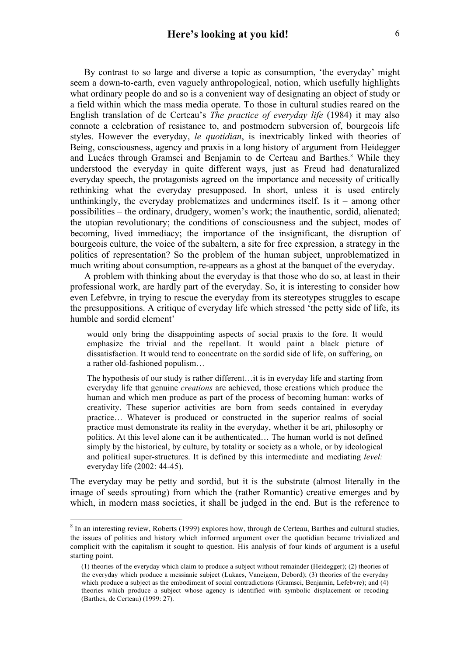By contrast to so large and diverse a topic as consumption, 'the everyday' might seem a down-to-earth, even vaguely anthropological, notion, which usefully highlights what ordinary people do and so is a convenient way of designating an object of study or a field within which the mass media operate. To those in cultural studies reared on the English translation of de Certeau's *The practice of everyday life* (1984) it may also connote a celebration of resistance to, and postmodern subversion of, bourgeois life styles. However the everyday, *le quotidian*, is inextricably linked with theories of Being, consciousness, agency and praxis in a long history of argument from Heidegger and Lucács through Gramsci and Benjamin to de Certeau and Barthes.<sup>8</sup> While they understood the everyday in quite different ways, just as Freud had denaturalized everyday speech, the protagonists agreed on the importance and necessity of critically rethinking what the everyday presupposed. In short, unless it is used entirely unthinkingly, the everyday problematizes and undermines itself. Is it – among other possibilities – the ordinary, drudgery, women's work; the inauthentic, sordid, alienated; the utopian revolutionary; the conditions of consciousness and the subject, modes of becoming, lived immediacy; the importance of the insignificant, the disruption of bourgeois culture, the voice of the subaltern, a site for free expression, a strategy in the politics of representation? So the problem of the human subject, unproblematized in much writing about consumption, re-appears as a ghost at the banquet of the everyday.

A problem with thinking about the everyday is that those who do so, at least in their professional work, are hardly part of the everyday. So, it is interesting to consider how even Lefebvre, in trying to rescue the everyday from its stereotypes struggles to escape the presuppositions. A critique of everyday life which stressed 'the petty side of life, its humble and sordid element'

would only bring the disappointing aspects of social praxis to the fore. It would emphasize the trivial and the repellant. It would paint a black picture of dissatisfaction. It would tend to concentrate on the sordid side of life, on suffering, on a rather old-fashioned populism…

The hypothesis of our study is rather different…it is in everyday life and starting from everyday life that genuine *creations* are achieved, those creations which produce the human and which men produce as part of the process of becoming human: works of creativity. These superior activities are born from seeds contained in everyday practice… Whatever is produced or constructed in the superior realms of social practice must demonstrate its reality in the everyday, whether it be art, philosophy or politics. At this level alone can it be authenticated… The human world is not defined simply by the historical, by culture, by totality or society as a whole, or by ideological and political super-structures. It is defined by this intermediate and mediating *level:*  everyday life (2002: 44-45).

The everyday may be petty and sordid, but it is the substrate (almost literally in the image of seeds sprouting) from which the (rather Romantic) creative emerges and by which, in modern mass societies, it shall be judged in the end. But is the reference to

 <sup>8</sup>  $8$  In an interesting review, Roberts (1999) explores how, through de Certeau, Barthes and cultural studies, the issues of politics and history which informed argument over the quotidian became trivialized and complicit with the capitalism it sought to question. His analysis of four kinds of argument is a useful starting point.

<sup>(1)</sup> theories of the everyday which claim to produce a subject without remainder (Heidegger); (2) theories of the everyday which produce a messianic subject (Lukacs, Vaneigem, Debord); (3) theories of the everyday which produce a subject as the embodiment of social contradictions (Gramsci, Benjamin, Lefebvre); and (4) theories which produce a subject whose agency is identified with symbolic displacement or recoding (Barthes, de Certeau) (1999: 27).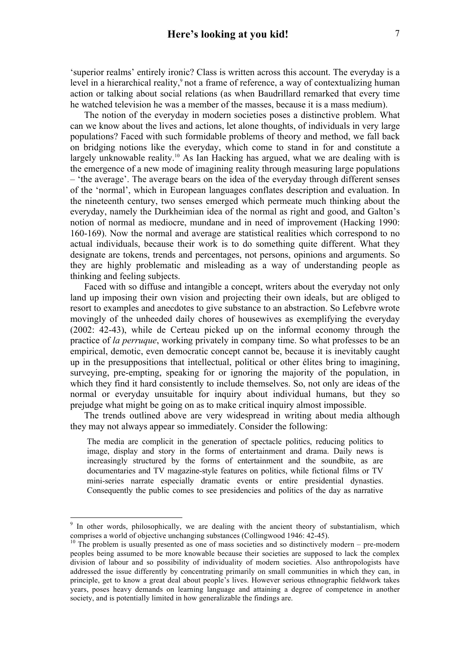'superior realms' entirely ironic? Class is written across this account. The everyday is a level in a hierarchical reality,<sup>9</sup> not a frame of reference, a way of contextualizing human action or talking about social relations (as when Baudrillard remarked that every time he watched television he was a member of the masses, because it is a mass medium).

The notion of the everyday in modern societies poses a distinctive problem. What can we know about the lives and actions, let alone thoughts, of individuals in very large populations? Faced with such formidable problems of theory and method, we fall back on bridging notions like the everyday, which come to stand in for and constitute a largely unknowable reality.<sup>10</sup> As Ian Hacking has argued, what we are dealing with is the emergence of a new mode of imagining reality through measuring large populations – 'the average'. The average bears on the idea of the everyday through different senses of the 'normal', which in European languages conflates description and evaluation. In the nineteenth century, two senses emerged which permeate much thinking about the everyday, namely the Durkheimian idea of the normal as right and good, and Galton's notion of normal as mediocre, mundane and in need of improvement (Hacking 1990: 160-169). Now the normal and average are statistical realities which correspond to no actual individuals, because their work is to do something quite different. What they designate are tokens, trends and percentages, not persons, opinions and arguments. So they are highly problematic and misleading as a way of understanding people as thinking and feeling subjects.

Faced with so diffuse and intangible a concept, writers about the everyday not only land up imposing their own vision and projecting their own ideals, but are obliged to resort to examples and anecdotes to give substance to an abstraction. So Lefebvre wrote movingly of the unheeded daily chores of housewives as exemplifying the everyday (2002: 42-43), while de Certeau picked up on the informal economy through the practice of *la perruque*, working privately in company time. So what professes to be an empirical, demotic, even democratic concept cannot be, because it is inevitably caught up in the presuppositions that intellectual, political or other élites bring to imagining, surveying, pre-empting, speaking for or ignoring the majority of the population, in which they find it hard consistently to include themselves. So, not only are ideas of the normal or everyday unsuitable for inquiry about individual humans, but they so prejudge what might be going on as to make critical inquiry almost impossible.

The trends outlined above are very widespread in writing about media although they may not always appear so immediately. Consider the following:

The media are complicit in the generation of spectacle politics, reducing politics to image, display and story in the forms of entertainment and drama. Daily news is increasingly structured by the forms of entertainment and the soundbite, as are documentaries and TV magazine-style features on politics, while fictional films or TV mini-series narrate especially dramatic events or entire presidential dynasties. Consequently the public comes to see presidencies and politics of the day as narrative

<sup>-&</sup>lt;br>9 <sup>9</sup> In other words, philosophically, we are dealing with the ancient theory of substantialism, which comprises a world of objective unchanging substances (Collingwood 1946: 42-45).<br><sup>10</sup> The problem is usually presented as one of mass societies and so distinctively modern – pre-modern

peoples being assumed to be more knowable because their societies are supposed to lack the complex division of labour and so possibility of individuality of modern societies. Also anthropologists have addressed the issue differently by concentrating primarily on small communities in which they can, in principle, get to know a great deal about people's lives. However serious ethnographic fieldwork takes years, poses heavy demands on learning language and attaining a degree of competence in another society, and is potentially limited in how generalizable the findings are.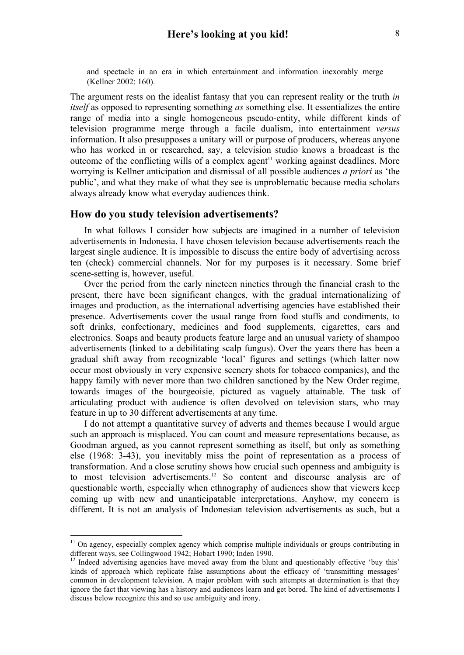The argument rests on the idealist fantasy that you can represent reality or the truth *in itself* as opposed to representing something *as* something else. It essentializes the entire range of media into a single homogeneous pseudo-entity, while different kinds of television programme merge through a facile dualism, into entertainment *versus* information. It also presupposes a unitary will or purpose of producers, whereas anyone who has worked in or researched, say, a television studio knows a broadcast is the outcome of the conflicting wills of a complex agent<sup> $11$ </sup> working against deadlines. More worrying is Kellner anticipation and dismissal of all possible audiences *a priori* as 'the public', and what they make of what they see is unproblematic because media scholars always already know what everyday audiences think.

#### **How do you study television advertisements?**

In what follows I consider how subjects are imagined in a number of television advertisements in Indonesia. I have chosen television because advertisements reach the largest single audience. It is impossible to discuss the entire body of advertising across ten (check) commercial channels. Nor for my purposes is it necessary. Some brief scene-setting is, however, useful.

Over the period from the early nineteen nineties through the financial crash to the present, there have been significant changes, with the gradual internationalizing of images and production, as the international advertising agencies have established their presence. Advertisements cover the usual range from food stuffs and condiments, to soft drinks, confectionary, medicines and food supplements, cigarettes, cars and electronics. Soaps and beauty products feature large and an unusual variety of shampoo advertisements (linked to a debilitating scalp fungus). Over the years there has been a gradual shift away from recognizable 'local' figures and settings (which latter now occur most obviously in very expensive scenery shots for tobacco companies), and the happy family with never more than two children sanctioned by the New Order regime, towards images of the bourgeoisie, pictured as vaguely attainable. The task of articulating product with audience is often devolved on television stars, who may feature in up to 30 different advertisements at any time.

I do not attempt a quantitative survey of adverts and themes because I would argue such an approach is misplaced. You can count and measure representations because, as Goodman argued, as you cannot represent something as itself, but only as something else (1968: 3-43), you inevitably miss the point of representation as a process of transformation. And a close scrutiny shows how crucial such openness and ambiguity is to most television advertisements.<sup>12</sup> So content and discourse analysis are of questionable worth, especially when ethnography of audiences show that viewers keep coming up with new and unanticipatable interpretations. Anyhow, my concern is different. It is not an analysis of Indonesian television advertisements as such, but a

 $11$  On agency, especially complex agency which comprise multiple individuals or groups contributing in different ways, see Collingwood 1942; Hobart 1990; Inden 1990.

<sup>&</sup>lt;sup>12</sup> Indeed advertising agencies have moved away from the blunt and questionably effective 'buy this' kinds of approach which replicate false assumptions about the efficacy of 'transmitting messages' common in development television. A major problem with such attempts at determination is that they ignore the fact that viewing has a history and audiences learn and get bored. The kind of advertisements I discuss below recognize this and so use ambiguity and irony.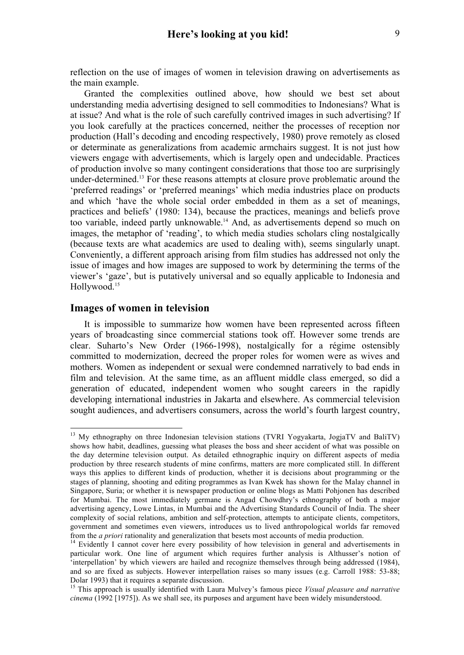reflection on the use of images of women in television drawing on advertisements as the main example.

Granted the complexities outlined above, how should we best set about understanding media advertising designed to sell commodities to Indonesians? What is at issue? And what is the role of such carefully contrived images in such advertising? If you look carefully at the practices concerned, neither the processes of reception nor production (Hall's decoding and encoding respectively, 1980) prove remotely as closed or determinate as generalizations from academic armchairs suggest. It is not just how viewers engage with advertisements, which is largely open and undecidable. Practices of production involve so many contingent considerations that those too are surprisingly under-determined.13 For these reasons attempts at closure prove problematic around the 'preferred readings' or 'preferred meanings' which media industries place on products and which 'have the whole social order embedded in them as a set of meanings, practices and beliefs' (1980: 134), because the practices, meanings and beliefs prove too variable, indeed partly unknowable.14 And, as advertisements depend so much on images, the metaphor of 'reading', to which media studies scholars cling nostalgically (because texts are what academics are used to dealing with), seems singularly unapt. Conveniently, a different approach arising from film studies has addressed not only the issue of images and how images are supposed to work by determining the terms of the viewer's 'gaze', but is putatively universal and so equally applicable to Indonesia and Hollywood.<sup>15</sup>

### **Images of women in television**

It is impossible to summarize how women have been represented across fifteen years of broadcasting since commercial stations took off. However some trends are clear. Suharto's New Order (1966-1998), nostalgically for a régime ostensibly committed to modernization, decreed the proper roles for women were as wives and mothers. Women as independent or sexual were condemned narratively to bad ends in film and television. At the same time, as an affluent middle class emerged, so did a generation of educated, independent women who sought careers in the rapidly developing international industries in Jakarta and elsewhere. As commercial television sought audiences, and advertisers consumers, across the world's fourth largest country,

<sup>&</sup>lt;sup>13</sup> Mv ethnography on three Indonesian television stations (TVRI Yogyakarta, JogjaTV and BaliTV) shows how habit, deadlines, guessing what pleases the boss and sheer accident of what was possible on the day determine television output. As detailed ethnographic inquiry on different aspects of media production by three research students of mine confirms, matters are more complicated still. In different ways this applies to different kinds of production, whether it is decisions about programming or the stages of planning, shooting and editing programmes as Ivan Kwek has shown for the Malay channel in Singapore, Suria; or whether it is newspaper production or online blogs as Matti Pohjonen has described for Mumbai. The most immediately germane is Angad Chowdhry's ethnography of both a major advertising agency, Lowe Lintas, in Mumbai and the Advertising Standards Council of India. The sheer complexity of social relations, ambition and self-protection, attempts to anticipate clients, competitors, government and sometimes even viewers, introduces us to lived anthropological worlds far removed from the *a priori* rationality and generalization that besets most accounts of media production.<br><sup>14</sup> Evidently I cannot cover here every possibility of how television in general and advertisements in

particular work. One line of argument which requires further analysis is Althusser's notion of 'interpellation' by which viewers are hailed and recognize themselves through being addressed (1984), and so are fixed as subjects. However interpellation raises so many issues (e.g. Carroll 1988: 53-88; Dolar 1993) that it requires a separate discussion.

<sup>15</sup> This approach is usually identified with Laura Mulvey's famous piece *Visual pleasure and narrative cinema* (1992 [1975]). As we shall see, its purposes and argument have been widely misunderstood.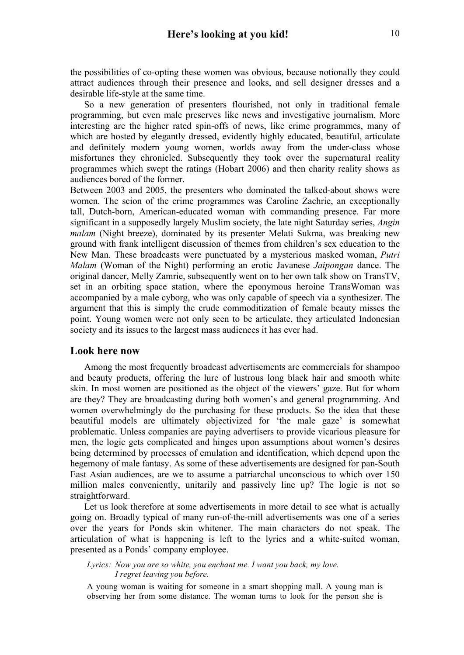the possibilities of co-opting these women was obvious, because notionally they could attract audiences through their presence and looks, and sell designer dresses and a desirable life-style at the same time.

So a new generation of presenters flourished, not only in traditional female programming, but even male preserves like news and investigative journalism. More interesting are the higher rated spin-offs of news, like crime programmes, many of which are hosted by elegantly dressed, evidently highly educated, beautiful, articulate and definitely modern young women, worlds away from the under-class whose misfortunes they chronicled. Subsequently they took over the supernatural reality programmes which swept the ratings (Hobart 2006) and then charity reality shows as audiences bored of the former.

Between 2003 and 2005, the presenters who dominated the talked-about shows were women. The scion of the crime programmes was Caroline Zachrie, an exceptionally tall, Dutch-born, American-educated woman with commanding presence. Far more significant in a supposedly largely Muslim society, the late night Saturday series, *Angin malam* (Night breeze), dominated by its presenter Melati Sukma, was breaking new ground with frank intelligent discussion of themes from children's sex education to the New Man. These broadcasts were punctuated by a mysterious masked woman, *Putri Malam* (Woman of the Night) performing an erotic Javanese *Jaipongan* dance. The original dancer, Melly Zamrie, subsequently went on to her own talk show on TransTV, set in an orbiting space station, where the eponymous heroine TransWoman was accompanied by a male cyborg, who was only capable of speech via a synthesizer. The argument that this is simply the crude commoditization of female beauty misses the point. Young women were not only seen to be articulate, they articulated Indonesian society and its issues to the largest mass audiences it has ever had.

#### **Look here now**

Among the most frequently broadcast advertisements are commercials for shampoo and beauty products, offering the lure of lustrous long black hair and smooth white skin. In most women are positioned as the object of the viewers' gaze. But for whom are they? They are broadcasting during both women's and general programming. And women overwhelmingly do the purchasing for these products. So the idea that these beautiful models are ultimately objectivized for 'the male gaze' is somewhat problematic. Unless companies are paying advertisers to provide vicarious pleasure for men, the logic gets complicated and hinges upon assumptions about women's desires being determined by processes of emulation and identification, which depend upon the hegemony of male fantasy. As some of these advertisements are designed for pan-South East Asian audiences, are we to assume a patriarchal unconscious to which over 150 million males conveniently, unitarily and passively line up? The logic is not so straightforward.

Let us look therefore at some advertisements in more detail to see what is actually going on. Broadly typical of many run-of-the-mill advertisements was one of a series over the years for Ponds skin whitener. The main characters do not speak. The articulation of what is happening is left to the lyrics and a white-suited woman, presented as a Ponds' company employee.

*Lyrics: Now you are so white, you enchant me. I want you back, my love. I regret leaving you before.*

A young woman is waiting for someone in a smart shopping mall. A young man is observing her from some distance. The woman turns to look for the person she is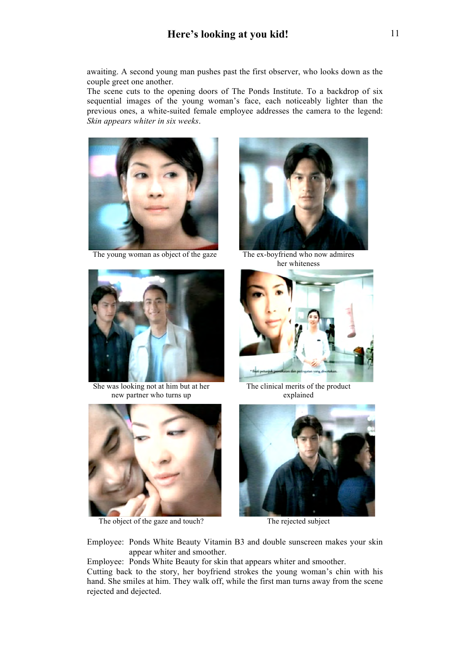awaiting. A second young man pushes past the first observer, who looks down as the couple greet one another.

The scene cuts to the opening doors of The Ponds Institute. To a backdrop of six sequential images of the young woman's face, each noticeably lighter than the previous ones, a white-suited female employee addresses the camera to the legend: *Skin appears whiter in six weeks*.



The young woman as object of the gaze The ex-boyfriend who now admires



her whiteness



She was looking not at him but at her new partner who turns up



The clinical merits of the product explained



The object of the gaze and touch? The rejected subject



Employee: Ponds White Beauty Vitamin B3 and double sunscreen makes your skin appear whiter and smoother.

Employee: Ponds White Beauty for skin that appears whiter and smoother.

Cutting back to the story, her boyfriend strokes the young woman's chin with his hand. She smiles at him. They walk off, while the first man turns away from the scene rejected and dejected.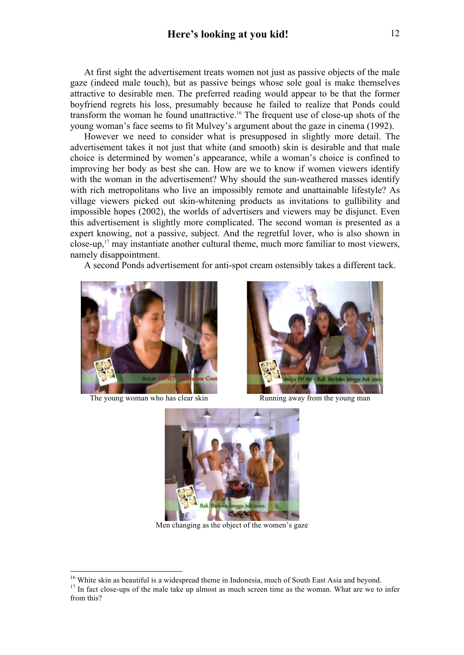At first sight the advertisement treats women not just as passive objects of the male gaze (indeed male touch), but as passive beings whose sole goal is make themselves attractive to desirable men. The preferred reading would appear to be that the former boyfriend regrets his loss, presumably because he failed to realize that Ponds could transform the woman he found unattractive.16 The frequent use of close-up shots of the young woman's face seems to fit Mulvey's argument about the gaze in cinema (1992).

However we need to consider what is presupposed in slightly more detail. The advertisement takes it not just that white (and smooth) skin is desirable and that male choice is determined by women's appearance, while a woman's choice is confined to improving her body as best she can. How are we to know if women viewers identify with the woman in the advertisement? Why should the sun-weathered masses identify with rich metropolitans who live an impossibly remote and unattainable lifestyle? As village viewers picked out skin-whitening products as invitations to gullibility and impossible hopes (2002), the worlds of advertisers and viewers may be disjunct. Even this advertisement is slightly more complicated. The second woman is presented as a expert knowing, not a passive, subject. And the regretful lover, who is also shown in close-up, $17$  may instantiate another cultural theme, much more familiar to most viewers, namely disappointment.

A second Ponds advertisement for anti-spot cream ostensibly takes a different tack.



The young woman who has clear skin Running away from the young man





Men changing as the object of the women's gaze

<sup>&</sup>lt;sup>16</sup> White skin as beautiful is a widespread theme in Indonesia, much of South East Asia and beyond.<br><sup>17</sup> In fact close-ups of the male take up almost as much screen time as the woman. What are we to infer from this?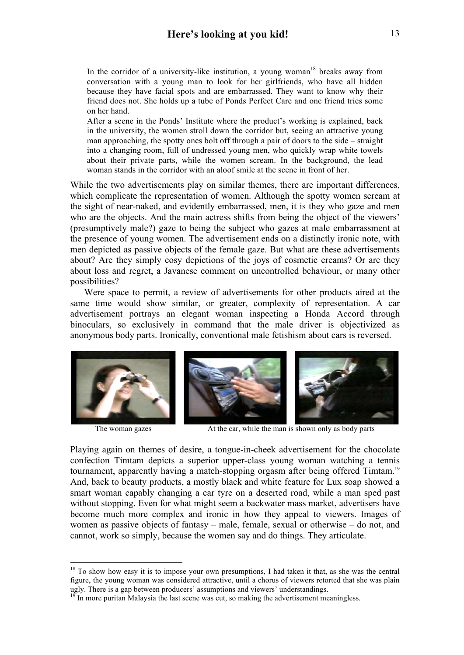In the corridor of a university-like institution, a young woman<sup>18</sup> breaks away from conversation with a young man to look for her girlfriends, who have all hidden because they have facial spots and are embarrassed. They want to know why their friend does not. She holds up a tube of Ponds Perfect Care and one friend tries some on her hand.

After a scene in the Ponds' Institute where the product's working is explained, back in the university, the women stroll down the corridor but, seeing an attractive young man approaching, the spotty ones bolt off through a pair of doors to the side – straight into a changing room, full of undressed young men, who quickly wrap white towels about their private parts, while the women scream. In the background, the lead woman stands in the corridor with an aloof smile at the scene in front of her.

While the two advertisements play on similar themes, there are important differences, which complicate the representation of women. Although the spotty women scream at the sight of near-naked, and evidently embarrassed, men, it is they who gaze and men who are the objects. And the main actress shifts from being the object of the viewers' (presumptively male?) gaze to being the subject who gazes at male embarrassment at the presence of young women. The advertisement ends on a distinctly ironic note, with men depicted as passive objects of the female gaze. But what are these advertisements about? Are they simply cosy depictions of the joys of cosmetic creams? Or are they about loss and regret, a Javanese comment on uncontrolled behaviour, or many other possibilities?

Were space to permit, a review of advertisements for other products aired at the same time would show similar, or greater, complexity of representation. A car advertisement portrays an elegant woman inspecting a Honda Accord through binoculars, so exclusively in command that the male driver is objectivized as anonymous body parts. Ironically, conventional male fetishism about cars is reversed.



The woman gazes At the car, while the man is shown only as body parts

Playing again on themes of desire, a tongue-in-cheek advertisement for the chocolate confection Timtam depicts a superior upper-class young woman watching a tennis tournament, apparently having a match-stopping orgasm after being offered Timtam.19 And, back to beauty products, a mostly black and white feature for Lux soap showed a smart woman capably changing a car tyre on a deserted road, while a man sped past without stopping. Even for what might seem a backwater mass market, advertisers have become much more complex and ironic in how they appeal to viewers. Images of women as passive objects of fantasy – male, female, sexual or otherwise – do not, and cannot, work so simply, because the women say and do things. They articulate.

 $18$  To show how easy it is to impose your own presumptions, I had taken it that, as she was the central figure, the young woman was considered attractive, until a chorus of viewers retorted that she was plain ugly. There is a gap between producers' assumptions and viewers' understandings.

<sup>&</sup>lt;sup>19</sup> In more puritan Malaysia the last scene was cut, so making the advertisement meaningless.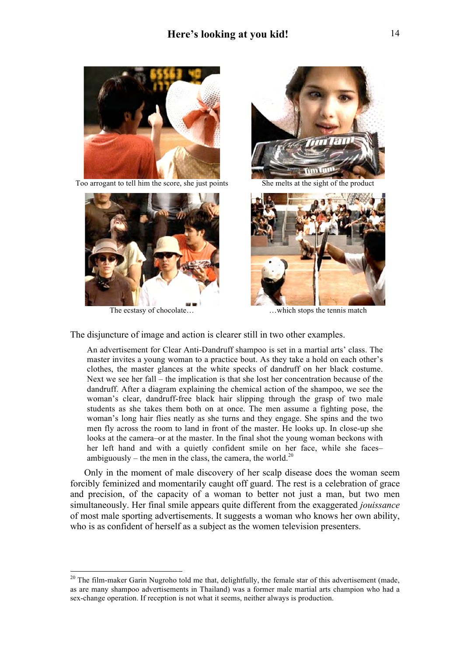

Too arrogant to tell him the score, she just points She melts at the sight of the product







The ecstasy of chocolate… which stops the tennis match

The disjuncture of image and action is clearer still in two other examples.

An advertisement for Clear Anti-Dandruff shampoo is set in a martial arts' class. The master invites a young woman to a practice bout. As they take a hold on each other's clothes, the master glances at the white specks of dandruff on her black costume. Next we see her fall – the implication is that she lost her concentration because of the dandruff. After a diagram explaining the chemical action of the shampoo, we see the woman's clear, dandruff-free black hair slipping through the grasp of two male students as she takes them both on at once. The men assume a fighting pose, the woman's long hair flies neatly as she turns and they engage. She spins and the two men fly across the room to land in front of the master. He looks up. In close-up she looks at the camera–or at the master. In the final shot the young woman beckons with her left hand and with a quietly confident smile on her face, while she faces– ambiguously – the men in the class, the camera, the world.<sup>20</sup>

Only in the moment of male discovery of her scalp disease does the woman seem forcibly feminized and momentarily caught off guard. The rest is a celebration of grace and precision, of the capacity of a woman to better not just a man, but two men simultaneously. Her final smile appears quite different from the exaggerated *jouissance* of most male sporting advertisements. It suggests a woman who knows her own ability, who is as confident of herself as a subject as the women television presenters.

 $20$  The film-maker Garin Nugroho told me that, delightfully, the female star of this advertisement (made, as are many shampoo advertisements in Thailand) was a former male martial arts champion who had a sex-change operation. If reception is not what it seems, neither always is production.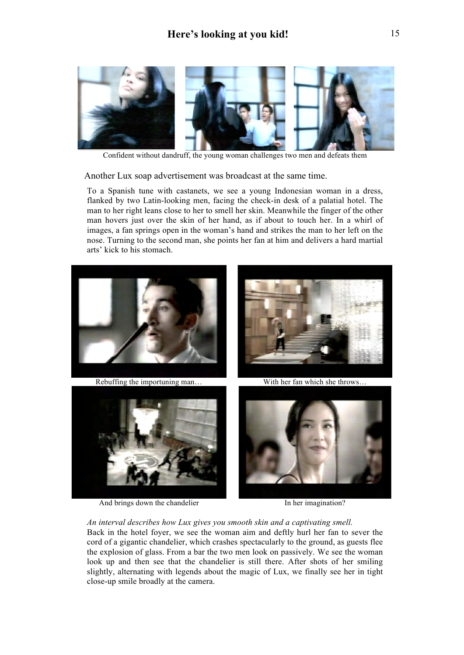

Confident without dandruff, the young woman challenges two men and defeats them

Another Lux soap advertisement was broadcast at the same time.

To a Spanish tune with castanets, we see a young Indonesian woman in a dress, flanked by two Latin-looking men, facing the check-in desk of a palatial hotel. The man to her right leans close to her to smell her skin. Meanwhile the finger of the other man hovers just over the skin of her hand, as if about to touch her. In a whirl of images, a fan springs open in the woman's hand and strikes the man to her left on the nose. Turning to the second man, she points her fan at him and delivers a hard martial arts' kick to his stomach.



And brings down the chandelier In her imagination?

*An interval describes how Lux gives you smooth skin and a captivating smell.* 

Back in the hotel foyer, we see the woman aim and deftly hurl her fan to sever the cord of a gigantic chandelier, which crashes spectacularly to the ground, as guests flee the explosion of glass. From a bar the two men look on passively. We see the woman look up and then see that the chandelier is still there. After shots of her smiling slightly, alternating with legends about the magic of Lux, we finally see her in tight close-up smile broadly at the camera.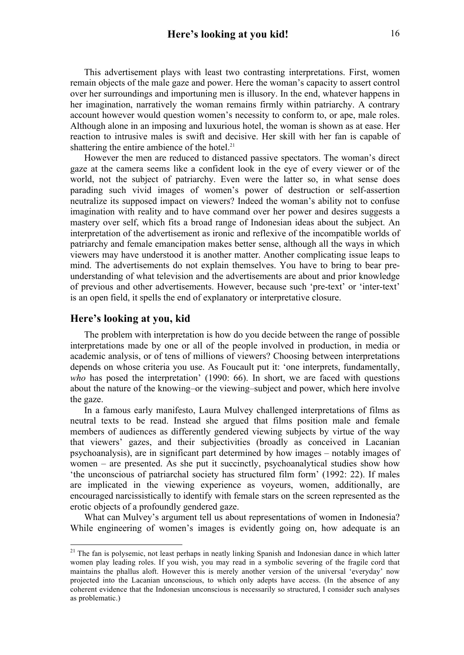This advertisement plays with least two contrasting interpretations. First, women remain objects of the male gaze and power. Here the woman's capacity to assert control over her surroundings and importuning men is illusory. In the end, whatever happens in her imagination, narratively the woman remains firmly within patriarchy. A contrary account however would question women's necessity to conform to, or ape, male roles. Although alone in an imposing and luxurious hotel, the woman is shown as at ease. Her reaction to intrusive males is swift and decisive. Her skill with her fan is capable of shattering the entire ambience of the hotel.<sup>21</sup>

However the men are reduced to distanced passive spectators. The woman's direct gaze at the camera seems like a confident look in the eye of every viewer or of the world, not the subject of patriarchy. Even were the latter so, in what sense does parading such vivid images of women's power of destruction or self-assertion neutralize its supposed impact on viewers? Indeed the woman's ability not to confuse imagination with reality and to have command over her power and desires suggests a mastery over self, which fits a broad range of Indonesian ideas about the subject. An interpretation of the advertisement as ironic and reflexive of the incompatible worlds of patriarchy and female emancipation makes better sense, although all the ways in which viewers may have understood it is another matter. Another complicating issue leaps to mind. The advertisements do not explain themselves. You have to bring to bear preunderstanding of what television and the advertisements are about and prior knowledge of previous and other advertisements. However, because such 'pre-text' or 'inter-text' is an open field, it spells the end of explanatory or interpretative closure.

### **Here's looking at you, kid**

The problem with interpretation is how do you decide between the range of possible interpretations made by one or all of the people involved in production, in media or academic analysis, or of tens of millions of viewers? Choosing between interpretations depends on whose criteria you use. As Foucault put it: 'one interprets, fundamentally, *who* has posed the interpretation' (1990: 66). In short, we are faced with questions about the nature of the knowing–or the viewing–subject and power, which here involve the gaze.

In a famous early manifesto, Laura Mulvey challenged interpretations of films as neutral texts to be read. Instead she argued that films position male and female members of audiences as differently gendered viewing subjects by virtue of the way that viewers' gazes, and their subjectivities (broadly as conceived in Lacanian psychoanalysis), are in significant part determined by how images – notably images of women – are presented. As she put it succinctly, psychoanalytical studies show how 'the unconscious of patriarchal society has structured film form' (1992: 22). If males are implicated in the viewing experience as voyeurs, women, additionally, are encouraged narcissistically to identify with female stars on the screen represented as the erotic objects of a profoundly gendered gaze.

What can Mulvey's argument tell us about representations of women in Indonesia? While engineering of women's images is evidently going on, how adequate is an

<sup>&</sup>lt;sup>21</sup> The fan is polysemic, not least perhaps in neatly linking Spanish and Indonesian dance in which latter women play leading roles. If you wish, you may read in a symbolic severing of the fragile cord that maintains the phallus aloft. However this is merely another version of the universal 'everyday' now projected into the Lacanian unconscious, to which only adepts have access. (In the absence of any coherent evidence that the Indonesian unconscious is necessarily so structured, I consider such analyses as problematic.)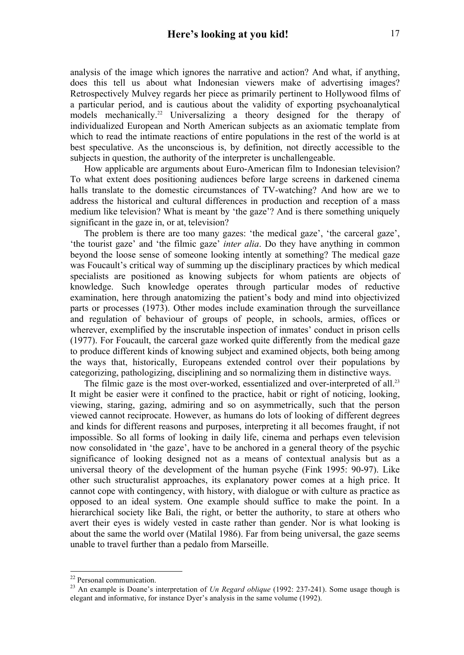analysis of the image which ignores the narrative and action? And what, if anything, does this tell us about what Indonesian viewers make of advertising images? Retrospectively Mulvey regards her piece as primarily pertinent to Hollywood films of a particular period, and is cautious about the validity of exporting psychoanalytical models mechanically.<sup>22</sup> Universalizing a theory designed for the therapy of individualized European and North American subjects as an axiomatic template from which to read the intimate reactions of entire populations in the rest of the world is at best speculative. As the unconscious is, by definition, not directly accessible to the subjects in question, the authority of the interpreter is unchallengeable.

How applicable are arguments about Euro-American film to Indonesian television? To what extent does positioning audiences before large screens in darkened cinema halls translate to the domestic circumstances of TV-watching? And how are we to address the historical and cultural differences in production and reception of a mass medium like television? What is meant by 'the gaze'? And is there something uniquely significant in the gaze in, or at, television?

The problem is there are too many gazes: 'the medical gaze', 'the carceral gaze', 'the tourist gaze' and 'the filmic gaze' *inter alia*. Do they have anything in common beyond the loose sense of someone looking intently at something? The medical gaze was Foucault's critical way of summing up the disciplinary practices by which medical specialists are positioned as knowing subjects for whom patients are objects of knowledge. Such knowledge operates through particular modes of reductive examination, here through anatomizing the patient's body and mind into objectivized parts or processes (1973). Other modes include examination through the surveillance and regulation of behaviour of groups of people, in schools, armies, offices or wherever, exemplified by the inscrutable inspection of inmates' conduct in prison cells (1977). For Foucault, the carceral gaze worked quite differently from the medical gaze to produce different kinds of knowing subject and examined objects, both being among the ways that, historically, Europeans extended control over their populations by categorizing, pathologizing, disciplining and so normalizing them in distinctive ways.

The filmic gaze is the most over-worked, essentialized and over-interpreted of all.<sup>23</sup> It might be easier were it confined to the practice, habit or right of noticing, looking, viewing, staring, gazing, admiring and so on asymmetrically, such that the person viewed cannot reciprocate. However, as humans do lots of looking of different degrees and kinds for different reasons and purposes, interpreting it all becomes fraught, if not impossible. So all forms of looking in daily life, cinema and perhaps even television now consolidated in 'the gaze', have to be anchored in a general theory of the psychic significance of looking designed not as a means of contextual analysis but as a universal theory of the development of the human psyche (Fink 1995: 90-97). Like other such structuralist approaches, its explanatory power comes at a high price. It cannot cope with contingency, with history, with dialogue or with culture as practice as opposed to an ideal system. One example should suffice to make the point. In a hierarchical society like Bali, the right, or better the authority, to stare at others who avert their eyes is widely vested in caste rather than gender. Nor is what looking is about the same the world over (Matilal 1986). Far from being universal, the gaze seems unable to travel further than a pedalo from Marseille.

 <sup>22</sup> Personal communication.

<sup>23</sup> An example is Doane's interpretation of *Un Regard oblique* (1992: 237-241). Some usage though is elegant and informative, for instance Dyer's analysis in the same volume (1992).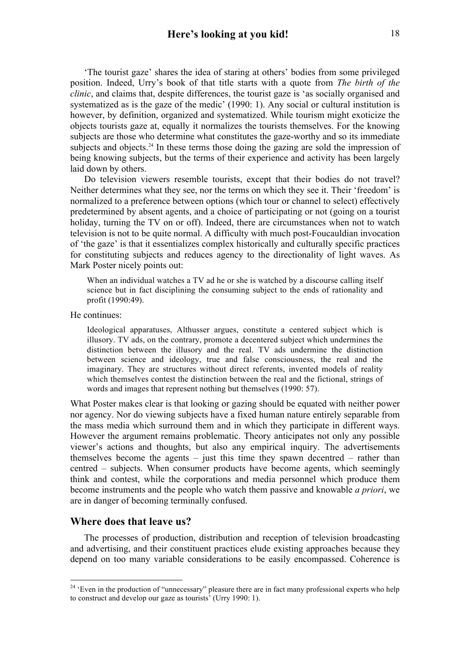'The tourist gaze' shares the idea of staring at others' bodies from some privileged position. Indeed, Urry's book of that title starts with a quote from *The birth of the clinic*, and claims that, despite differences, the tourist gaze is 'as socially organised and systematized as is the gaze of the medic' (1990: 1). Any social or cultural institution is however, by definition, organized and systematized. While tourism might exoticize the objects tourists gaze at, equally it normalizes the tourists themselves. For the knowing subjects are those who determine what constitutes the gaze-worthy and so its immediate subjects and objects.<sup>24</sup> In these terms those doing the gazing are sold the impression of being knowing subjects, but the terms of their experience and activity has been largely laid down by others.

Do television viewers resemble tourists, except that their bodies do not travel? Neither determines what they see, nor the terms on which they see it. Their 'freedom' is normalized to a preference between options (which tour or channel to select) effectively predetermined by absent agents, and a choice of participating or not (going on a tourist holiday, turning the TV on or off). Indeed, there are circumstances when not to watch television is not to be quite normal. A difficulty with much post-Foucauldian invocation of 'the gaze' is that it essentializes complex historically and culturally specific practices for constituting subjects and reduces agency to the directionality of light waves. As Mark Poster nicely points out:

When an individual watches a TV ad he or she is watched by a discourse calling itself science but in fact disciplining the consuming subject to the ends of rationality and profit (1990:49).

He continues:

Ideological apparatuses, Althusser argues, constitute a centered subject which is illusory. TV ads, on the contrary, promote a decentered subject which undermines the distinction between the illusory and the real. TV ads undermine the distinction between science and ideology, true and false consciousness, the real and the imaginary. They are structures without direct referents, invented models of reality which themselves contest the distinction between the real and the fictional, strings of words and images that represent nothing but themselves (1990: 57).

What Poster makes clear is that looking or gazing should be equated with neither power nor agency. Nor do viewing subjects have a fixed human nature entirely separable from the mass media which surround them and in which they participate in different ways. However the argument remains problematic. Theory anticipates not only any possible viewer's actions and thoughts, but also any empirical inquiry. The advertisements themselves become the agents – just this time they spawn decentred – rather than centred – subjects. When consumer products have become agents, which seemingly think and contest, while the corporations and media personnel which produce them become instruments and the people who watch them passive and knowable *a priori*, we are in danger of becoming terminally confused.

## **Where does that leave us?**

The processes of production, distribution and reception of television broadcasting and advertising, and their constituent practices elude existing approaches because they depend on too many variable considerations to be easily encompassed. Coherence is

<sup>&</sup>lt;sup>24</sup> 'Even in the production of "unnecessary" pleasure there are in fact many professional experts who help to construct and develop our gaze as tourists' (Urry 1990: 1).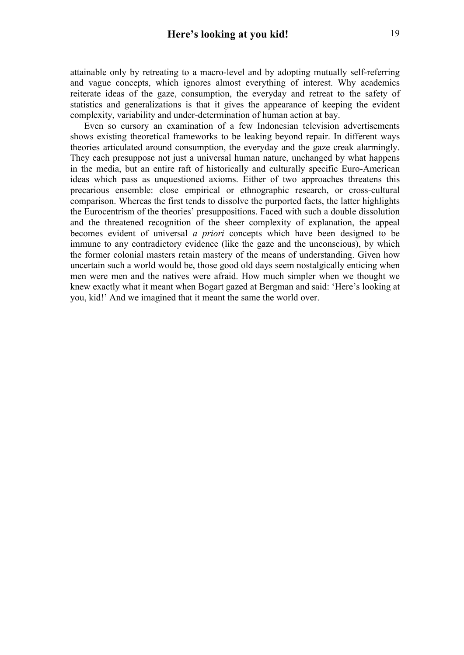attainable only by retreating to a macro-level and by adopting mutually self-referring and vague concepts, which ignores almost everything of interest. Why academics reiterate ideas of the gaze, consumption, the everyday and retreat to the safety of statistics and generalizations is that it gives the appearance of keeping the evident complexity, variability and under-determination of human action at bay.

Even so cursory an examination of a few Indonesian television advertisements shows existing theoretical frameworks to be leaking beyond repair. In different ways theories articulated around consumption, the everyday and the gaze creak alarmingly. They each presuppose not just a universal human nature, unchanged by what happens in the media, but an entire raft of historically and culturally specific Euro-American ideas which pass as unquestioned axioms. Either of two approaches threatens this precarious ensemble: close empirical or ethnographic research, or cross-cultural comparison. Whereas the first tends to dissolve the purported facts, the latter highlights the Eurocentrism of the theories' presuppositions. Faced with such a double dissolution and the threatened recognition of the sheer complexity of explanation, the appeal becomes evident of universal *a priori* concepts which have been designed to be immune to any contradictory evidence (like the gaze and the unconscious), by which the former colonial masters retain mastery of the means of understanding. Given how uncertain such a world would be, those good old days seem nostalgically enticing when men were men and the natives were afraid. How much simpler when we thought we knew exactly what it meant when Bogart gazed at Bergman and said: 'Here's looking at you, kid!' And we imagined that it meant the same the world over.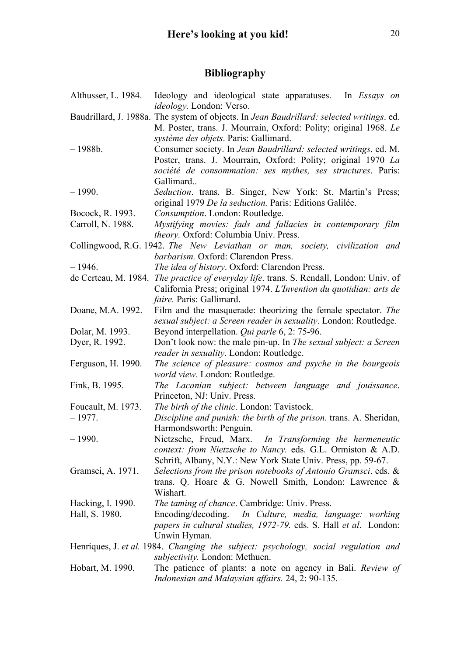# **Bibliography**

| Althusser, L. 1984. | Ideology and ideological state apparatuses. In <i>Essays on</i><br><i>ideology</i> . London: Verso.                                                                                                                                      |
|---------------------|------------------------------------------------------------------------------------------------------------------------------------------------------------------------------------------------------------------------------------------|
|                     | Baudrillard, J. 1988a. The system of objects. In Jean Baudrillard: selected writings. ed.<br>M. Poster, trans. J. Mourrain, Oxford: Polity; original 1968. Le                                                                            |
| $-1988b.$           | système des objets. Paris: Gallimard.<br>Consumer society. In Jean Baudrillard: selected writings. ed. M.<br>Poster, trans. J. Mourrain, Oxford: Polity; original 1970 La<br>société de consommation: ses mythes, ses structures. Paris: |
| $-1990.$            | Gallimard<br>Seduction. trans. B. Singer, New York: St. Martin's Press;                                                                                                                                                                  |
|                     | original 1979 De la seduction. Paris: Editions Galilée.                                                                                                                                                                                  |
| Bocock, R. 1993.    | Consumption. London: Routledge.                                                                                                                                                                                                          |
| Carroll, N. 1988.   | Mystifying movies: fads and fallacies in contemporary film<br>theory. Oxford: Columbia Univ. Press.                                                                                                                                      |
|                     | Collingwood, R.G. 1942. The New Leviathan or man, society, civilization and                                                                                                                                                              |
|                     | barbarism. Oxford: Clarendon Press.                                                                                                                                                                                                      |
| $-1946.$            | The idea of history. Oxford: Clarendon Press.                                                                                                                                                                                            |
|                     | de Certeau, M. 1984. <i>The practice of everyday life.</i> trans. S. Rendall, London: Univ. of                                                                                                                                           |
|                     | California Press; original 1974. L'Invention du quotidian: arts de<br><i>faire.</i> Paris: Gallimard.                                                                                                                                    |
| Doane, M.A. 1992.   | Film and the masquerade: theorizing the female spectator. The                                                                                                                                                                            |
|                     | sexual subject: a Screen reader in sexuality. London: Routledge.                                                                                                                                                                         |
| Dolar, M. 1993.     | Beyond interpellation. Qui parle 6, 2: 75-96.                                                                                                                                                                                            |
| Dyer, R. 1992.      | Don't look now: the male pin-up. In The sexual subject: a Screen                                                                                                                                                                         |
|                     | reader in sexuality. London: Routledge.                                                                                                                                                                                                  |
| Ferguson, H. 1990.  | The science of pleasure: cosmos and psyche in the bourgeois<br>world view. London: Routledge.                                                                                                                                            |
| Fink, B. 1995.      | The Lacanian subject: between language and jouissance.                                                                                                                                                                                   |
|                     | Princeton, NJ: Univ. Press.                                                                                                                                                                                                              |
| Foucault, M. 1973.  | The birth of the clinic. London: Tavistock.                                                                                                                                                                                              |
| $-1977.$            | Discipline and punish: the birth of the prison. trans. A. Sheridan,                                                                                                                                                                      |
|                     | Harmondsworth: Penguin.                                                                                                                                                                                                                  |
| $-1990.$            | Nietzsche, Freud, Marx. In Transforming the hermeneutic<br>context: from Nietzsche to Nancy. eds. G.L. Ormiston & A.D.<br>Schrift, Albany, N.Y.: New York State Univ. Press, pp. 59-67.                                                  |
|                     | Selections from the prison notebooks of Antonio Gramsci. eds. &                                                                                                                                                                          |
| Gramsci, A. 1971.   | trans. Q. Hoare & G. Nowell Smith, London: Lawrence $\&$<br>Wishart.                                                                                                                                                                     |
| Hacking, I. 1990.   | The taming of chance. Cambridge: Univ. Press.                                                                                                                                                                                            |
| Hall, S. 1980.      | Encoding/decoding. In Culture, media, language: working                                                                                                                                                                                  |
|                     | papers in cultural studies, 1972-79. eds. S. Hall et al. London:                                                                                                                                                                         |
|                     | Unwin Hyman.                                                                                                                                                                                                                             |
|                     | Henriques, J. et al. 1984. Changing the subject: psychology, social regulation and<br>subjectivity. London: Methuen.                                                                                                                     |
| Hobart, M. 1990.    | The patience of plants: a note on agency in Bali. Review of                                                                                                                                                                              |
|                     | Indonesian and Malaysian affairs. 24, 2: 90-135.                                                                                                                                                                                         |